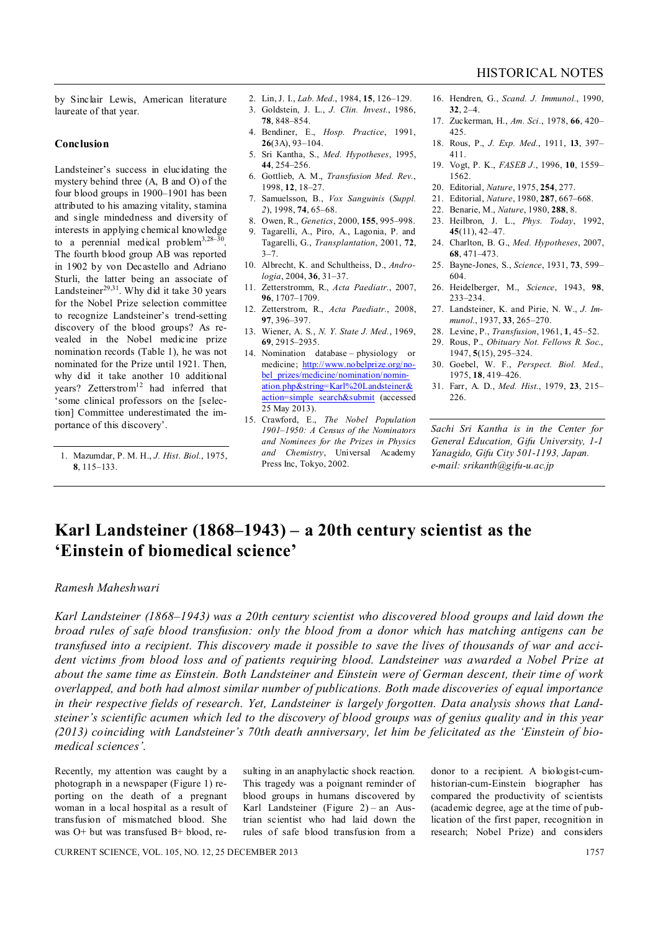by Sinclair Lewis, American literature laureate of that year.

#### **Conclusion**

Landsteiner's success in elucidating the mystery behind three (A, B and O) of the four blood groups in 1900–1901 has been attributed to his amazing vitality, stamina and single mindedness and diversity of interests in applying chemical knowledge to a perennial medical problem<sup>3,28-30</sup>. The fourth blood group AB was reported in 1902 by von Decastello and Adriano Sturli, the latter being an associate of Landsteiner<sup>29,31</sup>. Why did it take 30 years for the Nobel Prize selection committee to recognize Landsteiner's trend-setting discovery of the blood groups? As revealed in the Nobel medicine prize nomination records (Table 1), he was not nominated for the Prize until 1921. Then, why did it take another 10 additional years? Zetterstrom<sup>12</sup> had inferred that 'some clinical professors on the [selection] Committee underestimated the importance of this discovery'.

- 2. Lin, J. I., *Lab. Med.*, 1984, **15**, 126–129.
- 3. Goldstein, J. L., *J. Clin. Invest.*, 1986, **78**, 848–854.
- 4. Bendiner, E., *Hosp. Practice*, 1991, **26**(3A), 93–104.
- 5. Sri Kantha, S., *Med. Hypotheses*, 1995, **44**, 254–256.
- 6. Gottlieb, A. M., *Transfusion Med. Rev.*, 1998, **12**, 18–27.
- 7. Samuelsson, B., *Vox Sanguinis* (*Suppl. 2*), 1998, **74**, 65–68.
- 8. Owen, R., *Genetics*, 2000, **155**, 995–998.
- 9. Tagarelli, A., Piro, A., Lagonia, P. and Tagarelli, G., *Transplantation*, 2001, **72**,  $3 - 7$
- 10. Albrecht, K. and Schultheiss, D., *Andrologia*, 2004, **36**, 31–37.
- 11. Zetterstromm, R., *Acta Paediatr.*, 2007, **96**, 1707–1709.
- 12. Zetterstrom, R., *Acta Paediatr.*, 2008, **97**, 396–397.
- 13. Wiener, A. S., *N. Y. State J. Med.*, 1969, **69**, 2915–2935.
- 14. Nomination database physiology or medicine; http://www.nobelprize.org/nobel\_prizes/medicine/nomination/nomination.php&string=Karl%20Landsteiner& action=simple search&submit (accessed 25 May 2013).
- 15. Crawford, E., *The Nobel Population 1901–1950: A Census of the Nominators and Nominees for the Prizes in Physics and Chemistry*, Universal Academy Press Inc, Tokyo, 2002.
- 16. Hendren, G., *Scand. J. Immunol.*, 1990, **32**, 2–4.
- 17. Zuckerman, H., *Am. Sci.*, 1978, **66**, 420– 425.
- 18. Rous, P., *J. Exp. Med.*, 1911, **13**, 397– 411.
- 19. Vogt, P. K., *FASEB J.*, 1996, **10**, 1559– 1562.
- 20. Editorial, *Nature*, 1975, **254**, 277.
- 21. Editorial, *Nature*, 1980, **287**, 667–668.
- 22. Benarie, M., *Nature*, 1980, **288**, 8.
- 23. Heilbron, J. L., *Phys. Today*, 1992, **45**(11), 42–47.
- 24. Charlton, B. G., *Med. Hypotheses*, 2007, **68**, 471–473.
- 25. Bayne-Jones, S., *Science*, 1931, **73**, 599– 604.
- 26. Heidelberger, M., *Science*, 1943, **98**, 233–234.
- 27. Landsteiner, K. and Pirie, N. W., *J. Immunol.*, 1937, **33**, 265–270.
- 28. Levine, P., *Transfusion*, 1961, **1**, 45–52.
- 29. Rous, P., *Obituary Not. Fellows R. Soc.*, 1947, **5**(15), 295–324.
- 30. Goebel, W. F., *Perspect. Biol. Med.*, 1975, **18**, 419–426.
- 31. Farr, A. D., *Med. Hist.*, 1979, **23**, 215– 226.

*Sachi Sri Kantha is in the Center for General Education, Gifu University, 1-1 Yanagido, Gifu City 501-1193, Japan. e-mail: srikanth@gifu-u.ac.jp*

# **Karl Landsteiner (1868–1943) – a 20th century scientist as the 'Einstein of biomedical science'**

## *Ramesh Maheshwari*

*Karl Landsteiner (1868–1943) was a 20th century scientist who discovered blood groups and laid down the broad rules of safe blood transfusion: only the blood from a donor which has matching antigens can be transfused into a recipient. This discovery made it possible to save the lives of thousands of war and accident victims from blood loss and of patients requiring blood. Landsteiner was awarded a Nobel Prize at about the same time as Einstein. Both Landsteiner and Einstein were of German descent, their time of work overlapped, and both had almost similar number of publications. Both made discoveries of equal importance in their respective fields of research. Yet, Landsteiner is largely forgotten. Data analysis shows that Landsteiner's scientific acumen which led to the discovery of blood groups was of genius quality and in this year (2013) coinciding with Landsteiner's 70th death anniversary, let him be felicitated as the 'Einstein of biomedical sciences'.*

Recently, my attention was caught by a photograph in a newspaper (Figure 1) reporting on the death of a pregnant woman in a local hospital as a result of transfusion of mismatched blood. She was O+ but was transfused B+ blood, re-

sulting in an anaphylactic shock reaction. This tragedy was a poignant reminder of blood groups in humans discovered by Karl Landsteiner (Figure 2) – an Austrian scientist who had laid down the rules of safe blood transfusion from a donor to a recipient. A biologist-cumhistorian-cum-Einstein biographer has compared the productivity of scientists (academic degree, age at the time of publication of the first paper, recognition in research; Nobel Prize) and considers

CURRENT SCIENCE, VOL. 105, NO. 12, 25 DECEMBER 2013 1757

<sup>1.</sup> Mazumdar, P. M. H., *J. Hist. Biol.*, 1975, **8**, 115–133.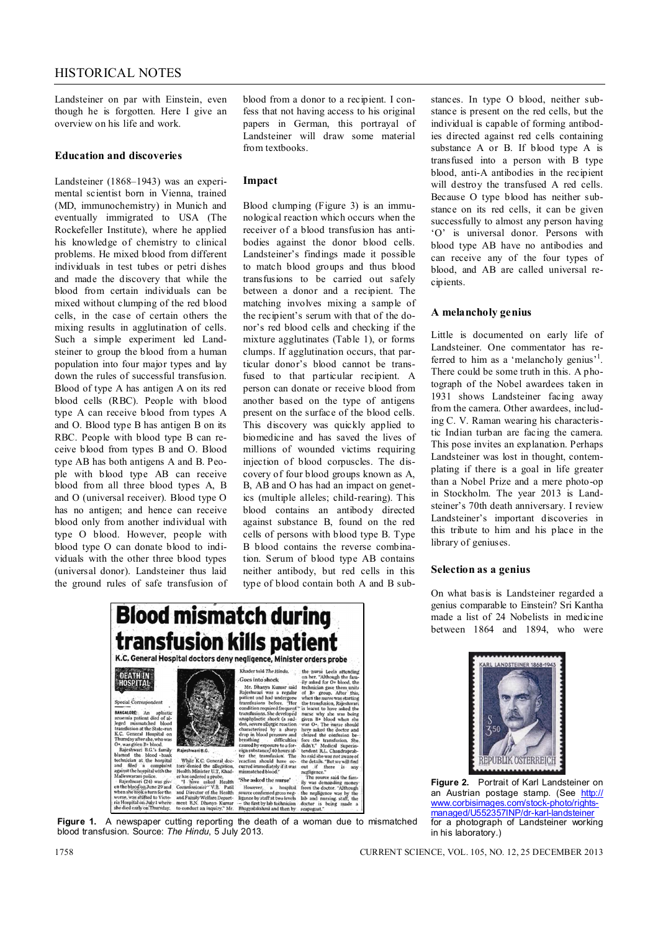Landsteiner on par with Einstein, even though he is forgotten. Here I give an overview on his life and work.

### **Education and discoveries**

Landsteiner (1868–1943) was an experimental scientist born in Vienna, trained (MD, immunochemistry) in Munich and eventually immigrated to USA (The Rockefeller Institute), where he applied his knowledge of chemistry to clinical problems. He mixed blood from different individuals in test tubes or petri dishes and made the discovery that while the blood from certain individuals can be mixed without clumping of the red blood cells, in the case of certain others the mixing results in agglutination of cells. Such a simple experiment led Landsteiner to group the blood from a human population into four major types and lay down the rules of successful transfusion. Blood of type A has antigen A on its red blood cells (RBC). People with blood type A can receive blood from types A and O. Blood type B has antigen B on its RBC. People with blood type B can receive blood from types B and O. Blood type AB has both antigens A and B. People with blood type AB can receive blood from all three blood types A, B and O (universal receiver). Blood type O has no antigen; and hence can receive blood only from another individual with type O blood. However, people with blood type O can donate blood to individuals with the other three blood types (universal donor). Landsteiner thus laid the ground rules of safe transfusion of

Âr

anomini patient die<br/>d $\sigma$ alient patient die die alementarismo teh bestaterund<br/>t R.C. General Hospital on N.C. General Hospital on D. Was given it best<br>place the whole best of the best of the best of the block band

worse, was shifted to Victoria<br>ria Hospital on July 1 where<br>she died early on Thursday.

blood from a donor to a recipient. I confess that not having access to his original papers in German, this portrayal of Landsteiner will draw some material from textbooks.

#### **Impact**

Blood clumping (Figure 3) is an immunological reaction which occurs when the receiver of a blood transfusion has antibodies against the donor blood cells. Landsteiner's findings made it possible to match blood groups and thus blood transfusions to be carried out safely between a donor and a recipient. The matching involves mixing a sample of the recipient's serum with that of the donor's red blood cells and checking if the mixture agglutinates (Table 1), or forms clumps. If agglutination occurs, that particular donor's blood cannot be transfused to that particular recipient. A person can donate or receive blood from another based on the type of antigens present on the surface of the blood cells. This discovery was quickly applied to biomedicine and has saved the lives of millions of wounded victims requiring injection of blood corpuscles. The discovery of four blood groups known as A, B, AB and O has had an impact on genetics (multiple alleles; child-rearing). This blood contains an antibody directed against substance B, found on the red cells of persons with blood type B. Type B blood contains the reverse combination. Serum of blood type AB contains neither antibody, but red cells in this type of blood contain both A and B substances. In type O blood, neither substance is present on the red cells, but the individual is capable of forming antibodies directed against red cells containing substance A or B. If blood type A is transfused into a person with B type blood, anti-A antibodies in the recipient will destroy the transfused A red cells. Because O type blood has neither substance on its red cells, it can be given successfully to almost any person having 'O' is universal donor. Persons with blood type AB have no antibodies and can receive any of the four types of blood, and AB are called universal recipients.

### **A melancholy genius**

Little is documented on early life of Landsteiner. One commentator has referred to him as a 'melancholy genius'<sup>1</sup>. There could be some truth in this. A photograph of the Nobel awardees taken in 1931 shows Landsteiner facing away from the camera. Other awardees, including C. V. Raman wearing his characteristic Indian turban are facing the camera. This pose invites an explanation. Perhaps Landsteiner was lost in thought, contemplating if there is a goal in life greater than a Nobel Prize and a mere photo-op in Stockholm. The year 2013 is Landsteiner's 70th death anniversary. I review Landsteiner's important discoveries in this tribute to him and his place in the library of geniuses.

#### **Selection as a genius**

On what basis is Landsteiner regarded a genius comparable to Einstein? Sri Kantha made a list of 24 Nobelists in medicine between 1864 and 1894, who were



**Figure 1.** A newspaper cutting reporting the death of a woman due to mismatched blood transfusion. Source: *The Hindu*, 5 July 2013.

**Blood mismatch during** 



**Figure 2.** Portrait of Karl Landsteiner on an Austrian postage stamp. (See http:// www.corbisimages.com/stock-photo/rightsmanaged/U552357INP/dr-karl-landsteiner for a photograph of Landsteiner working in his laboratory.)